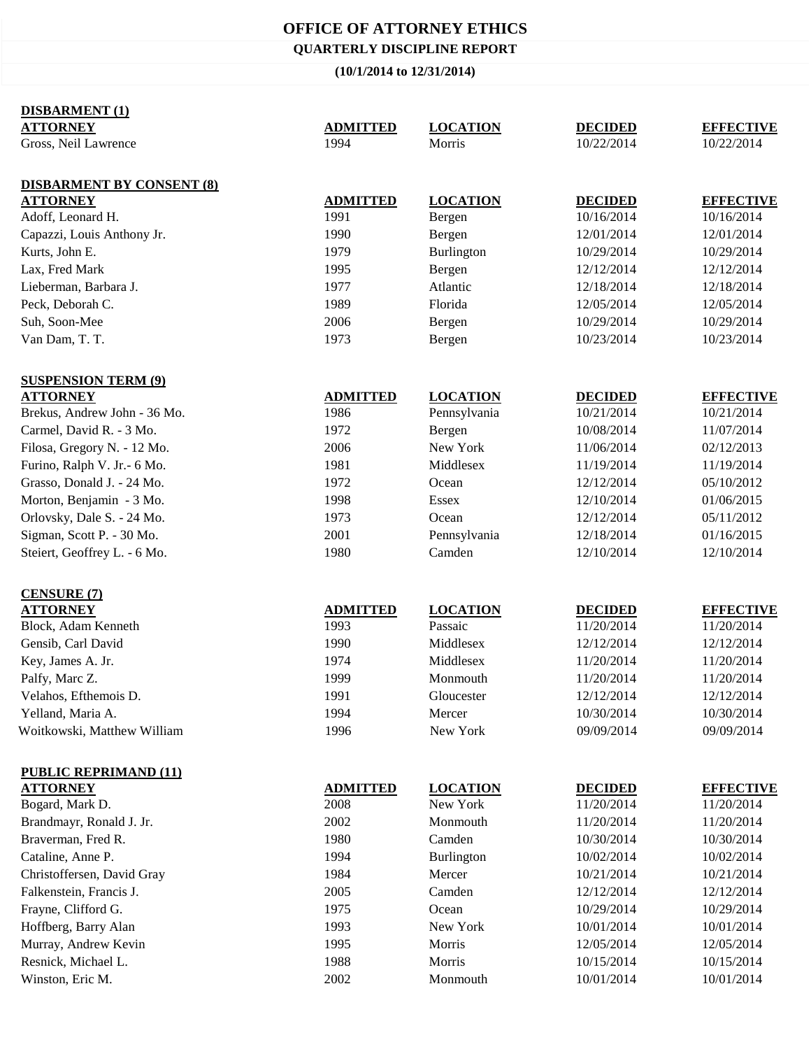## **OFFICE OF ATTORNEY ETHICS QUARTERLY DISCIPLINE REPORT**

## **(10/1/2014 to 12/31/2014)**

| <b>DISBARMENT (1)</b>                            |                 |                             |                          |                                |
|--------------------------------------------------|-----------------|-----------------------------|--------------------------|--------------------------------|
| <b>ATTORNEY</b>                                  | <b>ADMITTED</b> | <b>LOCATION</b>             | <b>DECIDED</b>           | <b>EFFECTIVE</b>               |
| Gross, Neil Lawrence                             | 1994            | Morris                      | 10/22/2014               | 10/22/2014                     |
|                                                  |                 |                             |                          |                                |
| <b>DISBARMENT BY CONSENT (8)</b>                 |                 |                             |                          |                                |
| <b>ATTORNEY</b>                                  | <b>ADMITTED</b> | <b>LOCATION</b>             | <b>DECIDED</b>           | <b>EFFECTIVE</b>               |
| Adoff, Leonard H.                                | 1991            | Bergen                      | 10/16/2014               | 10/16/2014                     |
| Capazzi, Louis Anthony Jr.                       | 1990            | Bergen                      | 12/01/2014               | 12/01/2014                     |
| Kurts, John E.                                   | 1979            | Burlington                  | 10/29/2014               | 10/29/2014                     |
| Lax, Fred Mark                                   | 1995            | Bergen                      | 12/12/2014               | 12/12/2014                     |
| Lieberman, Barbara J.                            | 1977            | Atlantic                    | 12/18/2014               | 12/18/2014                     |
| Peck, Deborah C.                                 | 1989            | Florida                     | 12/05/2014               | 12/05/2014                     |
| Suh, Soon-Mee                                    | 2006            | Bergen                      | 10/29/2014               | 10/29/2014                     |
| Van Dam, T. T.                                   | 1973            | Bergen                      | 10/23/2014               | 10/23/2014                     |
|                                                  |                 |                             |                          |                                |
| <b>SUSPENSION TERM (9)</b>                       |                 |                             |                          |                                |
| <b>ATTORNEY</b>                                  | <b>ADMITTED</b> | <b>LOCATION</b>             | <b>DECIDED</b>           | <b>EFFECTIVE</b>               |
| Brekus, Andrew John - 36 Mo.                     | 1986            | Pennsylvania                | 10/21/2014               | 10/21/2014                     |
| Carmel, David R. - 3 Mo.                         | 1972            | Bergen                      | 10/08/2014               | 11/07/2014                     |
| Filosa, Gregory N. - 12 Mo.                      | 2006            | New York                    | 11/06/2014               | 02/12/2013                     |
| Furino, Ralph V. Jr.- 6 Mo.                      | 1981            | Middlesex                   | 11/19/2014               | 11/19/2014                     |
| Grasso, Donald J. - 24 Mo.                       | 1972            | Ocean                       | 12/12/2014               | 05/10/2012                     |
| Morton, Benjamin - 3 Mo.                         | 1998            | Essex                       | 12/10/2014               | 01/06/2015                     |
| Orlovsky, Dale S. - 24 Mo.                       | 1973            | Ocean                       | 12/12/2014               | 05/11/2012                     |
| Sigman, Scott P. - 30 Mo.                        | 2001            | Pennsylvania                | 12/18/2014               | 01/16/2015                     |
| Steiert, Geoffrey L. - 6 Mo.                     | 1980            | Camden                      | 12/10/2014               | 12/10/2014                     |
|                                                  |                 |                             |                          |                                |
|                                                  |                 |                             |                          |                                |
| <b>CENSURE (7)</b>                               | <b>ADMITTED</b> |                             | <b>DECIDED</b>           |                                |
| <b>ATTORNEY</b><br>Block, Adam Kenneth           | 1993            | <b>LOCATION</b><br>Passaic  | 11/20/2014               | <b>EFFECTIVE</b><br>11/20/2014 |
| Gensib, Carl David                               | 1990            | Middlesex                   | 12/12/2014               | 12/12/2014                     |
| Key, James A. Jr.                                | 1974            | Middlesex                   | 11/20/2014               | 11/20/2014                     |
|                                                  | 1999            | Monmouth                    | 11/20/2014               | 11/20/2014                     |
| Palfy, Marc Z.<br>Velahos, Efthemois D.          | 1991            | Gloucester                  | 12/12/2014               | 12/12/2014                     |
|                                                  |                 | Mercer                      |                          |                                |
| Yelland, Maria A.<br>Woitkowski, Matthew William | 1994<br>1996    | New York                    | 10/30/2014<br>09/09/2014 | 10/30/2014<br>09/09/2014       |
|                                                  |                 |                             |                          |                                |
|                                                  |                 |                             |                          |                                |
| <b>PUBLIC REPRIMAND (11)</b>                     | <b>ADMITTED</b> |                             | <b>DECIDED</b>           |                                |
| <b>ATTORNEY</b><br>Bogard, Mark D.               | 2008            | <b>LOCATION</b><br>New York | 11/20/2014               | <b>EFFECTIVE</b><br>11/20/2014 |
| Brandmayr, Ronald J. Jr.                         | 2002            | Monmouth                    | 11/20/2014               | 11/20/2014                     |
| Braverman, Fred R.                               | 1980            | Camden                      | 10/30/2014               | 10/30/2014                     |
| Cataline, Anne P.                                | 1994            | Burlington                  | 10/02/2014               | 10/02/2014                     |
| Christoffersen, David Gray                       | 1984            | Mercer                      | 10/21/2014               | 10/21/2014                     |
|                                                  |                 |                             |                          |                                |
| Falkenstein, Francis J.                          | 2005            | Camden                      | 12/12/2014               | 12/12/2014                     |
| Frayne, Clifford G.                              | 1975            | Ocean                       | 10/29/2014               | 10/29/2014                     |
| Hoffberg, Barry Alan                             | 1993            | New York                    | 10/01/2014               | 10/01/2014                     |
| Murray, Andrew Kevin                             | 1995            | Morris                      | 12/05/2014               | 12/05/2014                     |
| Resnick, Michael L.                              | 1988            | Morris                      | 10/15/2014               | 10/15/2014                     |
| Winston, Eric M.                                 | 2002            | Monmouth                    | 10/01/2014               | 10/01/2014                     |